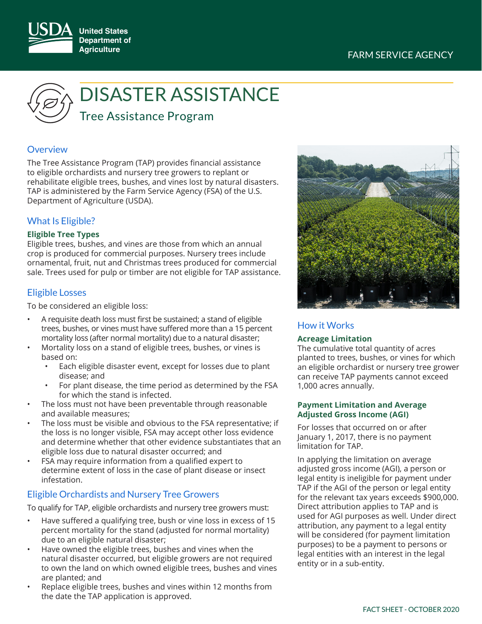## FARM SERVICE AGENCY





# DISASTER ASSISTANCE

Tree Assistance Program

### **Overview**

The Tree Assistance Program (TAP) provides financial assistance to eligible orchardists and nursery tree growers to replant or rehabilitate eligible trees, bushes, and vines lost by natural disasters. TAP is administered by the Farm Service Agency (FSA) of the U.S. Department of Agriculture (USDA).

## What Is Eligible?

#### **Eligible Tree Types**

Eligible trees, bushes, and vines are those from which an annual crop is produced for commercial purposes. Nursery trees include ornamental, fruit, nut and Christmas trees produced for commercial sale. Trees used for pulp or timber are not eligible for TAP assistance.

## Eligible Losses

To be considered an eligible loss:

- A requisite death loss must first be sustained; a stand of eligible trees, bushes, or vines must have suffered more than a 15 percent mortality loss (after normal mortality) due to a natural disaster;
- Mortality loss on a stand of eligible trees, bushes, or vines is based on:
	- Each eligible disaster event, except for losses due to plant disease; and
	- For plant disease, the time period as determined by the FSA for which the stand is infected.
- The loss must not have been preventable through reasonable and available measures;
- The loss must be visible and obvious to the FSA representative; if the loss is no longer visible, FSA may accept other loss evidence and determine whether that other evidence substantiates that an eligible loss due to natural disaster occurred; and
- FSA may require information from a qualified expert to determine extent of loss in the case of plant disease or insect infestation.

## Eligible Orchardists and Nursery Tree Growers

To qualify for TAP, eligible orchardists and nursery tree growers must:

- Have suffered a qualifying tree, bush or vine loss in excess of 15 percent mortality for the stand (adjusted for normal mortality) due to an eligible natural disaster;
- Have owned the eligible trees, bushes and vines when the natural disaster occurred, but eligible growers are not required to own the land on which owned eligible trees, bushes and vines are planted; and
- Replace eligible trees, bushes and vines within 12 months from the date the TAP application is approved.



## How it Works

#### **Acreage Limitation**

The cumulative total quantity of acres planted to trees, bushes, or vines for which an eligible orchardist or nursery tree grower can receive TAP payments cannot exceed 1,000 acres annually.

#### **Payment Limitation and Average Adjusted Gross Income (AGI)**

For losses that occurred on or after January 1, 2017, there is no payment limitation for TAP.

In applying the limitation on average adjusted gross income (AGI), a person or legal entity is ineligible for payment under TAP if the AGI of the person or legal entity for the relevant tax years exceeds \$900,000. Direct attribution applies to TAP and is used for AGI purposes as well. Under direct attribution, any payment to a legal entity will be considered (for payment limitation purposes) to be a payment to persons or legal entities with an interest in the legal entity or in a sub-entity.